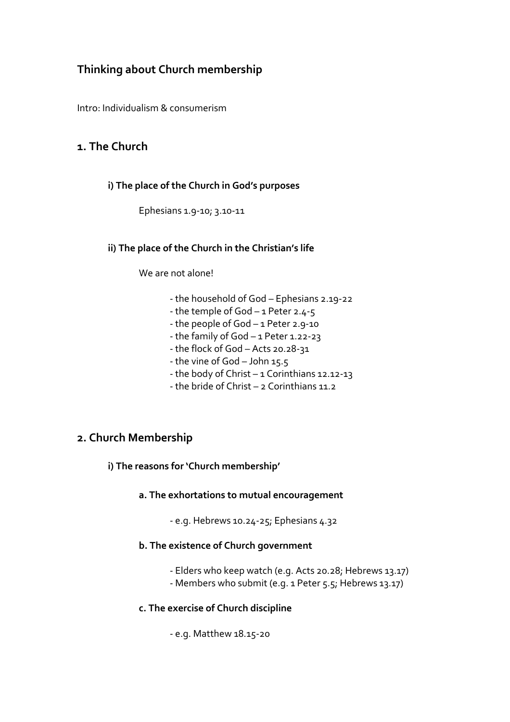# **Thinking about Church membership**

Intro: Individualism & consumerism

# **1. The Church**

## **i) The place of the Church in God's purposes**

#### Ephesians 1.9-10; 3.10-11

## **ii) The place of the Church in the Christian's life**

#### We are not alone!

- the household of God Ephesians 2.19-22
- the temple of God 1 Peter 2.4-5
- the people of God 1 Peter 2.9-10
- the family of God 1 Peter 1.22-23
- the flock of God Acts 20.28-31
- the vine of God John 15.5
- the body of Christ 1 Corinthians 12.12-13
- the bride of Christ 2 Corinthians 11.2

# **2. Church Membership**

### **i) The reasons for 'Church membership'**

### **a. The exhortations to mutual encouragement**

- e.g. Hebrews 10.24-25; Ephesians 4.32

### **b. The existence of Church government**

- Elders who keep watch (e.g. Acts 20.28; Hebrews 13.17)
- Members who submit (e.g. 1 Peter 5.5; Hebrews 13.17)

### **c. The exercise of Church discipline**

- e.g. Matthew 18.15-20